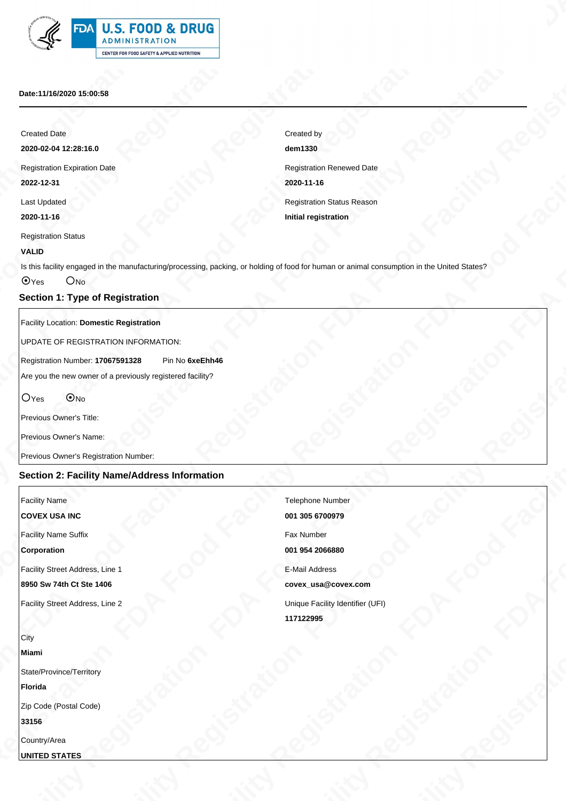| <b>U.S. FOOD &amp; DRUG</b><br><b>ADMINISTRATION</b>  |
|-------------------------------------------------------|
| <b>CENTER FOR FOOD SAFETY &amp; APPLIED NUTRITION</b> |

#### **Date:11/16/2020 15:00:58**

#### **VALID**

## **Section 1: Type of Registration**

#### Facility Location: **Domestic Registration**

# **Section 2: Facility Name/Address Information**

| FDA U.S. FOOD & DRUG<br>- 77<br>ADMINISTRATION<br>$\mathbb{S}^{\mathfrak{p}}$<br>CENTER FOR FOOD SAFETY & APPLIED NUTRITION<br>Date:11/16/2020 15:00:58<br><b>Created Date</b><br>Created by<br>dem1330<br>2020-02-04 12:28:16.0<br><b>Registration Renewed Date</b><br><b>Registration Expiration Date</b><br>2020-11-16<br>2022-12-31<br>Registration Status Reason<br>Last Updated<br>2020-11-16<br><b>Initial registration</b><br><b>Registration Status</b><br><b>VALID</b><br>Is this facility engaged in the manufacturing/processing, packing, or holding of food for human or animal consumption in the United States?<br>O <sub>Yes</sub> O <sub>No</sub><br><b>Section 1: Type of Registration</b><br>Facility Location: Domestic Registration<br>UPDATE OF REGISTRATION INFORMATION:<br>Registration Number: 17067591328 Pin No 6xeEhh46<br>Are you the new owner of a previously registered facility?<br>$OYes$ $@No$<br>Previous Owner's Title:<br>Previous Owner's Name:<br>Previous Owner's Registration Number:<br><b>Section 2: Facility Name/Address Information</b><br><b>Facility Name</b><br>Telephone Number<br><b>COVEX USA INC</b><br>001 305 6700979<br><b>Facility Name Suffix</b><br>Fax Number<br>Corporation<br>001 954 2066880<br>Facility Street Address, Line 1<br><b>E-Mail Address</b><br>8950 Sw 74th Ct Ste 1406<br>covex_usa@covex.com<br>Facility Street Address, Line 2<br>Unique Facility Identifier (UFI)<br>117122995<br>  City<br>Miami<br>State/Province/Territory<br><b>Florida</b><br>Zip Code (Postal Code)<br>33156<br>Country/Area |  |  |  |
|--------------------------------------------------------------------------------------------------------------------------------------------------------------------------------------------------------------------------------------------------------------------------------------------------------------------------------------------------------------------------------------------------------------------------------------------------------------------------------------------------------------------------------------------------------------------------------------------------------------------------------------------------------------------------------------------------------------------------------------------------------------------------------------------------------------------------------------------------------------------------------------------------------------------------------------------------------------------------------------------------------------------------------------------------------------------------------------------------------------------------------------------------------------------------------------------------------------------------------------------------------------------------------------------------------------------------------------------------------------------------------------------------------------------------------------------------------------------------------------------------------------------------------------------------------------------------------------|--|--|--|
|                                                                                                                                                                                                                                                                                                                                                                                                                                                                                                                                                                                                                                                                                                                                                                                                                                                                                                                                                                                                                                                                                                                                                                                                                                                                                                                                                                                                                                                                                                                                                                                      |  |  |  |
|                                                                                                                                                                                                                                                                                                                                                                                                                                                                                                                                                                                                                                                                                                                                                                                                                                                                                                                                                                                                                                                                                                                                                                                                                                                                                                                                                                                                                                                                                                                                                                                      |  |  |  |
|                                                                                                                                                                                                                                                                                                                                                                                                                                                                                                                                                                                                                                                                                                                                                                                                                                                                                                                                                                                                                                                                                                                                                                                                                                                                                                                                                                                                                                                                                                                                                                                      |  |  |  |
|                                                                                                                                                                                                                                                                                                                                                                                                                                                                                                                                                                                                                                                                                                                                                                                                                                                                                                                                                                                                                                                                                                                                                                                                                                                                                                                                                                                                                                                                                                                                                                                      |  |  |  |
|                                                                                                                                                                                                                                                                                                                                                                                                                                                                                                                                                                                                                                                                                                                                                                                                                                                                                                                                                                                                                                                                                                                                                                                                                                                                                                                                                                                                                                                                                                                                                                                      |  |  |  |
|                                                                                                                                                                                                                                                                                                                                                                                                                                                                                                                                                                                                                                                                                                                                                                                                                                                                                                                                                                                                                                                                                                                                                                                                                                                                                                                                                                                                                                                                                                                                                                                      |  |  |  |
|                                                                                                                                                                                                                                                                                                                                                                                                                                                                                                                                                                                                                                                                                                                                                                                                                                                                                                                                                                                                                                                                                                                                                                                                                                                                                                                                                                                                                                                                                                                                                                                      |  |  |  |
|                                                                                                                                                                                                                                                                                                                                                                                                                                                                                                                                                                                                                                                                                                                                                                                                                                                                                                                                                                                                                                                                                                                                                                                                                                                                                                                                                                                                                                                                                                                                                                                      |  |  |  |
|                                                                                                                                                                                                                                                                                                                                                                                                                                                                                                                                                                                                                                                                                                                                                                                                                                                                                                                                                                                                                                                                                                                                                                                                                                                                                                                                                                                                                                                                                                                                                                                      |  |  |  |
|                                                                                                                                                                                                                                                                                                                                                                                                                                                                                                                                                                                                                                                                                                                                                                                                                                                                                                                                                                                                                                                                                                                                                                                                                                                                                                                                                                                                                                                                                                                                                                                      |  |  |  |
|                                                                                                                                                                                                                                                                                                                                                                                                                                                                                                                                                                                                                                                                                                                                                                                                                                                                                                                                                                                                                                                                                                                                                                                                                                                                                                                                                                                                                                                                                                                                                                                      |  |  |  |
|                                                                                                                                                                                                                                                                                                                                                                                                                                                                                                                                                                                                                                                                                                                                                                                                                                                                                                                                                                                                                                                                                                                                                                                                                                                                                                                                                                                                                                                                                                                                                                                      |  |  |  |
|                                                                                                                                                                                                                                                                                                                                                                                                                                                                                                                                                                                                                                                                                                                                                                                                                                                                                                                                                                                                                                                                                                                                                                                                                                                                                                                                                                                                                                                                                                                                                                                      |  |  |  |
|                                                                                                                                                                                                                                                                                                                                                                                                                                                                                                                                                                                                                                                                                                                                                                                                                                                                                                                                                                                                                                                                                                                                                                                                                                                                                                                                                                                                                                                                                                                                                                                      |  |  |  |
|                                                                                                                                                                                                                                                                                                                                                                                                                                                                                                                                                                                                                                                                                                                                                                                                                                                                                                                                                                                                                                                                                                                                                                                                                                                                                                                                                                                                                                                                                                                                                                                      |  |  |  |
|                                                                                                                                                                                                                                                                                                                                                                                                                                                                                                                                                                                                                                                                                                                                                                                                                                                                                                                                                                                                                                                                                                                                                                                                                                                                                                                                                                                                                                                                                                                                                                                      |  |  |  |
|                                                                                                                                                                                                                                                                                                                                                                                                                                                                                                                                                                                                                                                                                                                                                                                                                                                                                                                                                                                                                                                                                                                                                                                                                                                                                                                                                                                                                                                                                                                                                                                      |  |  |  |
|                                                                                                                                                                                                                                                                                                                                                                                                                                                                                                                                                                                                                                                                                                                                                                                                                                                                                                                                                                                                                                                                                                                                                                                                                                                                                                                                                                                                                                                                                                                                                                                      |  |  |  |
|                                                                                                                                                                                                                                                                                                                                                                                                                                                                                                                                                                                                                                                                                                                                                                                                                                                                                                                                                                                                                                                                                                                                                                                                                                                                                                                                                                                                                                                                                                                                                                                      |  |  |  |
|                                                                                                                                                                                                                                                                                                                                                                                                                                                                                                                                                                                                                                                                                                                                                                                                                                                                                                                                                                                                                                                                                                                                                                                                                                                                                                                                                                                                                                                                                                                                                                                      |  |  |  |
|                                                                                                                                                                                                                                                                                                                                                                                                                                                                                                                                                                                                                                                                                                                                                                                                                                                                                                                                                                                                                                                                                                                                                                                                                                                                                                                                                                                                                                                                                                                                                                                      |  |  |  |
|                                                                                                                                                                                                                                                                                                                                                                                                                                                                                                                                                                                                                                                                                                                                                                                                                                                                                                                                                                                                                                                                                                                                                                                                                                                                                                                                                                                                                                                                                                                                                                                      |  |  |  |
|                                                                                                                                                                                                                                                                                                                                                                                                                                                                                                                                                                                                                                                                                                                                                                                                                                                                                                                                                                                                                                                                                                                                                                                                                                                                                                                                                                                                                                                                                                                                                                                      |  |  |  |
|                                                                                                                                                                                                                                                                                                                                                                                                                                                                                                                                                                                                                                                                                                                                                                                                                                                                                                                                                                                                                                                                                                                                                                                                                                                                                                                                                                                                                                                                                                                                                                                      |  |  |  |
|                                                                                                                                                                                                                                                                                                                                                                                                                                                                                                                                                                                                                                                                                                                                                                                                                                                                                                                                                                                                                                                                                                                                                                                                                                                                                                                                                                                                                                                                                                                                                                                      |  |  |  |
|                                                                                                                                                                                                                                                                                                                                                                                                                                                                                                                                                                                                                                                                                                                                                                                                                                                                                                                                                                                                                                                                                                                                                                                                                                                                                                                                                                                                                                                                                                                                                                                      |  |  |  |
|                                                                                                                                                                                                                                                                                                                                                                                                                                                                                                                                                                                                                                                                                                                                                                                                                                                                                                                                                                                                                                                                                                                                                                                                                                                                                                                                                                                                                                                                                                                                                                                      |  |  |  |
|                                                                                                                                                                                                                                                                                                                                                                                                                                                                                                                                                                                                                                                                                                                                                                                                                                                                                                                                                                                                                                                                                                                                                                                                                                                                                                                                                                                                                                                                                                                                                                                      |  |  |  |
|                                                                                                                                                                                                                                                                                                                                                                                                                                                                                                                                                                                                                                                                                                                                                                                                                                                                                                                                                                                                                                                                                                                                                                                                                                                                                                                                                                                                                                                                                                                                                                                      |  |  |  |
|                                                                                                                                                                                                                                                                                                                                                                                                                                                                                                                                                                                                                                                                                                                                                                                                                                                                                                                                                                                                                                                                                                                                                                                                                                                                                                                                                                                                                                                                                                                                                                                      |  |  |  |
|                                                                                                                                                                                                                                                                                                                                                                                                                                                                                                                                                                                                                                                                                                                                                                                                                                                                                                                                                                                                                                                                                                                                                                                                                                                                                                                                                                                                                                                                                                                                                                                      |  |  |  |
|                                                                                                                                                                                                                                                                                                                                                                                                                                                                                                                                                                                                                                                                                                                                                                                                                                                                                                                                                                                                                                                                                                                                                                                                                                                                                                                                                                                                                                                                                                                                                                                      |  |  |  |
|                                                                                                                                                                                                                                                                                                                                                                                                                                                                                                                                                                                                                                                                                                                                                                                                                                                                                                                                                                                                                                                                                                                                                                                                                                                                                                                                                                                                                                                                                                                                                                                      |  |  |  |
|                                                                                                                                                                                                                                                                                                                                                                                                                                                                                                                                                                                                                                                                                                                                                                                                                                                                                                                                                                                                                                                                                                                                                                                                                                                                                                                                                                                                                                                                                                                                                                                      |  |  |  |
|                                                                                                                                                                                                                                                                                                                                                                                                                                                                                                                                                                                                                                                                                                                                                                                                                                                                                                                                                                                                                                                                                                                                                                                                                                                                                                                                                                                                                                                                                                                                                                                      |  |  |  |
|                                                                                                                                                                                                                                                                                                                                                                                                                                                                                                                                                                                                                                                                                                                                                                                                                                                                                                                                                                                                                                                                                                                                                                                                                                                                                                                                                                                                                                                                                                                                                                                      |  |  |  |
|                                                                                                                                                                                                                                                                                                                                                                                                                                                                                                                                                                                                                                                                                                                                                                                                                                                                                                                                                                                                                                                                                                                                                                                                                                                                                                                                                                                                                                                                                                                                                                                      |  |  |  |
|                                                                                                                                                                                                                                                                                                                                                                                                                                                                                                                                                                                                                                                                                                                                                                                                                                                                                                                                                                                                                                                                                                                                                                                                                                                                                                                                                                                                                                                                                                                                                                                      |  |  |  |

| Created by                        |
|-----------------------------------|
| dem1330                           |
| <b>Registration Renewed Date</b>  |
| 2020-11-16                        |
| <b>Registration Status Reason</b> |
| Initial registration              |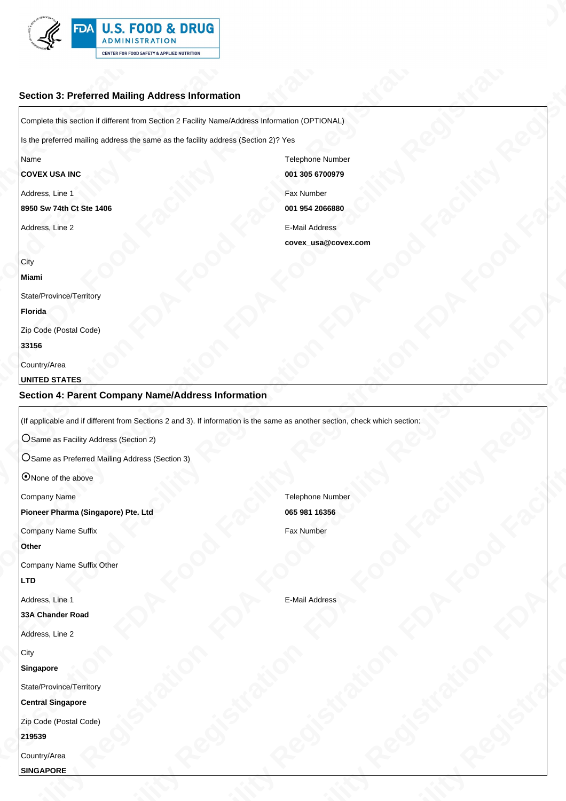

# **Section 3: Preferred Mailing Address Information**

**FDA FOOD REGISTOR**<br> **EXERCISE TRANSPORTER CONTINUES AND REGISTRATION FOR A FOOD REGISTRATION FOR A FOOD REGISTRATION FOR A FOOD REGISTRATION FOR A FOOD REGISTRATION FOR A FOOD REGISTRATION FOR A FOOD REGISTRATION FOR A FO FDA FOOD REGISTOR**<br> **EXERCISE TRANSPORTER CONTINUES AND REGISTRATION FOR A FOOD REGISTRATION FOR A FOOD REGISTRATION FOR A FOOD REGISTRATION FOR A FOOD REGISTRATION FOR A FOOD REGISTRATION FOR A FOOD REGISTRATION FOR A FO FDA FOOD REGISTOR**<br> **EXERCISE TRANSPORTER CONTINUES AND REGISTRATION FOR A FOOD REGISTRATION FOR A FOOD REGISTRATION FOR A FOOD REGISTRATION FOR A FOOD REGISTRATION FOR A FOOD REGISTRATION FOR A FOOD REGISTRATION FOR A FO FDA FOOD REGISTOR**<br> **EXERCISE TRANSPORTER CONTINUES AND REGISTRATION FOR A FOOD REGISTRATION FOR A FOOD REGISTRATION FOR A FOOD REGISTRATION FOR A FOOD REGISTRATION FOR A FOOD REGISTRATION FOR A FOOD REGISTRATION FOR A FO FDA FOOD REGISTOR**<br> **EXERCISE TRANSPORTER CONTINUES AND REGISTRATION FOR A FOOD REGISTRATION FOR A FOOD REGISTRATION FOR A FOOD REGISTRATION FOR A FOOD REGISTRATION FOR A FOOD REGISTRATION FOR A FOOD REGISTRATION FOR A FO FDA FOOD REGISTOR**<br> **EXERCISE TRANSPORTER CONTINUES AND REGISTRATION FOR A FOOD REGISTRATION FOR A FOOD REGISTRATION FOR A FOOD REGISTRATION FOR A FOOD REGISTRATION FOR A FOOD REGISTRATION FOR A FOOD REGISTRATION FOR A FO FDA FOOD REGISTOR**<br> **EXERCISE TRANSPORTER CONTINUES AND REGISTRATION FOR A FOOD REGISTRATION FOR A FOOD REGISTRATION FOR A FOOD REGISTRATION FOR A FOOD REGISTRATION FOR A FOOD REGISTRATION FOR A FOOD REGISTRATION FOR A FO FDA FOOD REGISTOR**<br> **EXERCISE TRANSPORTER CONTINUES AND REGISTRATION FOR A FOOD REGISTRATION FOR A FOOD REGISTRATION FOR A FOOD REGISTRATION FOR A FOOD REGISTRATION FOR A FOOD REGISTRATION FOR A FOOD REGISTRATION FOR A FO FDA FOOD REGISTOR**<br> **EXERCISE TRANSPORTER CONTINUES AND REGISTRATION FOR A FOOD REGISTRATION FOR A FOOD REGISTRATION FOR A FOOD REGISTRATION FOR A FOOD REGISTRATION FOR A FOOD REGISTRATION FOR A FOOD REGISTRATION FOR A FO FDA FOOD & DRUG<br>
FRA FOOD & DRUG<br>
THE CHANNEL AGREE INTERNATION FRA FOREST PREGISTRATION FRA FOOD & DRUG<br>
THE CHANNEL AGREE INTERNATION FRA FOOD FRA FOOD FRA FOOD FRA FOOD FRA FOOD FRA FOOD FRA FOOD FRA FOOD FRA FOOD FRA FRA FOOD FRA FOOD FRA FOOD FRA FOOD FRA FOOD FRA FOOD FRA FOOD FRA FOOD FRA FOOD FRA FOOD FRA FOOD FRA FOOD FRA FOOD FRA FOOD FRA FOOD FRA FOOD FRA FOOD FRA FOOD FRA FOOD FRA FOOD FRA FOOD FRA FOOD FRA FOOD FRA FOOD FRA F** FRA FOOD FOOD FRA FOOD FRA FOOD FRA FOOD FRA FOOD FRA FOOD FRA FOOD FRA FOOD FRA FOOD FRA FOOD FRA FOOD FRA FOOD FRA FOOD FRA FOOD FRA FOOD FRA FOOD FRA FOOD FRA FOOD FRA FOOD FRA FOOD FRA FOOD FRA FOOD FRA FOOD FRA FOOD F Complete this section if different from Section 2 Facility Name/Address Information (OPTIONAL) Is the preferred mailing address the same as the facility address (Section 2)? Yes Name **COVEX USA INC** Telephone Number **001 305 6700979** Address, Line 1 **8950 Sw 74th Ct Ste 1406** Fax Number **001 954 2066880** Address, Line 2 E-Mail Address **covex\_usa@covex.com City Miami**

State/Province/Territory

**Florida**

Zip Code (Postal Code)

**33156**

Country/Area

### **UNITED STATES**

## **Section 4: Parent Company Name/Address Information**

(If applicable and if different from Sections 2 and 3). If information is the same as another section, check which section:

O Same as Facility Address (Section 2)

 $\overline{O}$  Same as Preferred Mailing Address (Section 3)

O None of the above

Company Name

**Pioneer Pharma (Singapore) Pte. Ltd**

Company Name Suffix

**Other**

Company Name Suffix Other

**LTD**

Address, Line 1

### **33A Chander Road**

Address, Line 2

**City** 

#### **Singapore**

State/Province/Territory

**Central Singapore**

Zip Code (Postal Code)

**219539**

Country/Area

**SINGAPORE**

Telephone Number **065 981 16356** Fax Number

E-Mail Address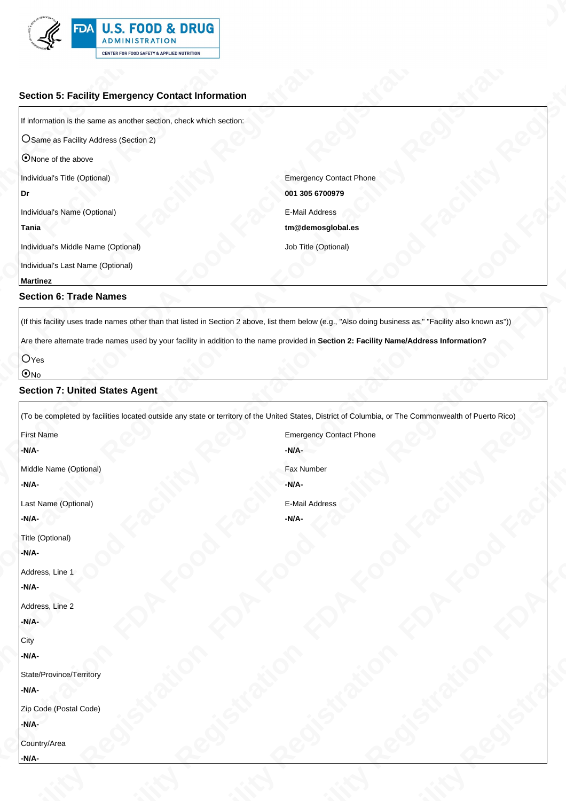

# **Section 5: Facility Emergency Contact Information**

| ONone of the above                  |                                |
|-------------------------------------|--------------------------------|
| Individual's Title (Optional)       | <b>Emergency Contact Phone</b> |
| Dr                                  | 001 305 6700979                |
| Individual's Name (Optional)        | E-Mail Address                 |
| Tania                               | tm@demosqlobal.es              |
| Individual's Middle Name (Optional) | Job Title (Optional)           |
| Individual's Last Name (Optional)   |                                |

#### **Martinez**

## **Section 6: Trade Names**

### **O**Yes

## $\odot$ No

### **Section 7: United States Agent**

| <b>FDA U.S. FOOD &amp; DRUG</b><br>III                                                                                                                                                     |                                     |  |  |
|--------------------------------------------------------------------------------------------------------------------------------------------------------------------------------------------|-------------------------------------|--|--|
| ADMINISTRATION<br>$\mathbb{R}^+$<br>CENTER FOR FOOD SAFETY & APPLIED NUTRITION                                                                                                             |                                     |  |  |
|                                                                                                                                                                                            |                                     |  |  |
| <b>Section 5: Facility Emergency Contact Information</b><br>If information is the same as another section, check which section:                                                            |                                     |  |  |
| OSame as Facility Address (Section 2)                                                                                                                                                      |                                     |  |  |
| ONone of the above<br>Individual's Title (Optional)                                                                                                                                        | <b>Emergency Contact Phone</b>      |  |  |
|                                                                                                                                                                                            | 001 305 6700979                     |  |  |
| Individual's Name (Optional)<br>Tania                                                                                                                                                      | E-Mail Address<br>tm@demosglobal.es |  |  |
| Individual's Middle Name (Optional)<br>Individual's Last Name (Optional)                                                                                                                   | Job Title (Optional)                |  |  |
| <b>Martinez</b>                                                                                                                                                                            |                                     |  |  |
| <b>Section 6: Trade Names</b><br>(If this facility uses trade names other than that listed in Section 2 above, list them below (e.g., "Also doing business as," "Facility also known as")) |                                     |  |  |
| Are there alternate trade names used by your facility in addition to the name provided in Section 2: Facility Name/Address Information?                                                    |                                     |  |  |
| <b>I</b> UYes<br><u>ାଠା</u>                                                                                                                                                                |                                     |  |  |
| <b>Section 7: United States Agent</b>                                                                                                                                                      |                                     |  |  |
| (To be completed by facilities located outside any state or territory of the United States, District of Columbia, or The Commonwealth of Puerto Rico)<br><b>First Name</b>                 | <b>Emergency Contact Phone</b>      |  |  |
| $-N/A$ -<br>Middle Name (Optional)                                                                                                                                                         | $-N/A$ -<br>Fax Number              |  |  |
| $-N/A$ -                                                                                                                                                                                   | $-N/A$ -                            |  |  |
| Last Name (Optional)<br>$-N/A$ -                                                                                                                                                           | E-Mail Address<br>-N/A-             |  |  |
| Title (Optional)<br>$-N/A$ -                                                                                                                                                               |                                     |  |  |
| Address, Line 1<br>-N/A-                                                                                                                                                                   |                                     |  |  |
| Address, Line 2                                                                                                                                                                            |                                     |  |  |
| LMA                                                                                                                                                                                        |                                     |  |  |
| N/A-<br>State/Province/Territory                                                                                                                                                           |                                     |  |  |
| $-N/A$ -                                                                                                                                                                                   |                                     |  |  |
|                                                                                                                                                                                            |                                     |  |  |
| Zip Code (Postal Code)<br>$-N/A-$                                                                                                                                                          |                                     |  |  |
|                                                                                                                                                                                            | $\Omega$                            |  |  |
| Country/Area                                                                                                                                                                               |                                     |  |  |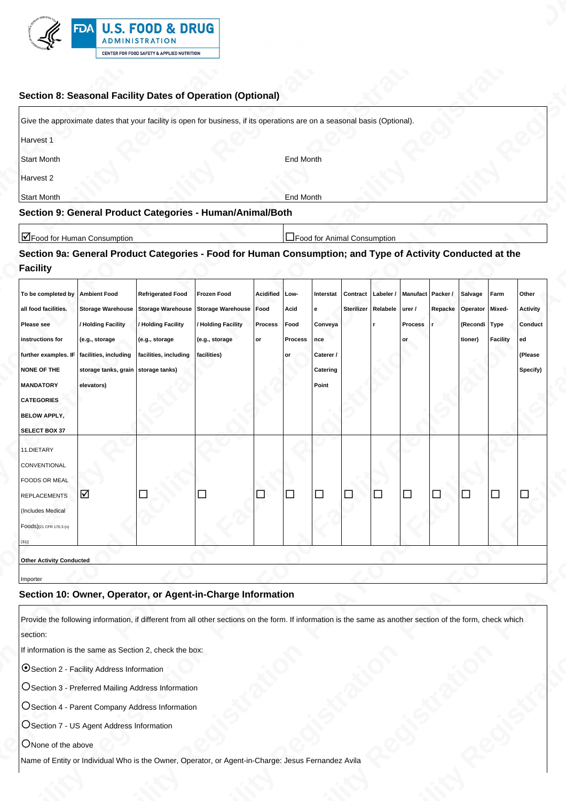

## **Section 8: Seasonal Facility Dates of Operation (Optional)**

| Give the approximate dates that your facility is open for business, if its operations are on a seasonal basis (Optional). |           |
|---------------------------------------------------------------------------------------------------------------------------|-----------|
| Harvest 1                                                                                                                 |           |
| Start Month                                                                                                               | End Month |
| Harvest 2                                                                                                                 |           |
| Start Month                                                                                                               | End Month |
| Section 9: General Product Categories - Human/Animal/Both                                                                 |           |

# **Section 9a: General Product Categories - Food for Human Consumption; and Type of Activity Conducted at the Facility**

| FDA U.S. FOOD & DRUG<br>ADMINISTRATION<br>$\mathbb{S}^{\mathfrak{g}-}$<br><b>CENTER FOR FOOD SAFETY &amp; APPLIED NUTRITION</b>                                                                                                                                                                                                                                                                        |  |
|--------------------------------------------------------------------------------------------------------------------------------------------------------------------------------------------------------------------------------------------------------------------------------------------------------------------------------------------------------------------------------------------------------|--|
| Section 8: Seasonal Facility Dates of Operation (Optional)                                                                                                                                                                                                                                                                                                                                             |  |
| Give the approximate dates that your facility is open for business, if its operations are on a seasonal basis (Optional).<br>Harvest 1                                                                                                                                                                                                                                                                 |  |
| Start Month<br><b>End Month</b><br>Harvest 2                                                                                                                                                                                                                                                                                                                                                           |  |
| <b>End Month</b><br><b>Start Month</b><br>Section 9: General Product Categories - Human/Animal/Both                                                                                                                                                                                                                                                                                                    |  |
| Food for Human Consumption<br>Food for Animal Consumption<br>Section 9a: General Product Categories - Food for Human Consumption; and Type of Activity Conducted at the<br>Facility                                                                                                                                                                                                                    |  |
| To be completed by  Ambient Food   Refrigerated Food   Frozen Food   Acidified   Low-   Interstat   Contract   Labeler /   Manufact   Packer /   Salvage   Farm   Other<br>all food facilities. Storage Warehouse Storage Warehouse Storage Warehouse Food Acid e<br>Sterilizer Relabele urer / Repacke Operator Mixed- Activity                                                                       |  |
| / Holding Facility / Holding Facility / Holding Facility Process Food Conveya<br>Process r<br><b>Please see</b><br>(Recondi Type Conduct<br>instructions for<br>(e.g., storage<br>(e.g., storage<br>(e.g., storage<br>Process   nce<br>$ $ or<br>tioner) Facility ed<br>lor<br>further examples. IF $ $ facilities, including $ $ facilities, including $ $ facilities)<br>Caterer /<br>(Please<br>∣or |  |
| NONE OF THE storage tanks, grain storage tanks)<br>Catering<br>Specify)  <br><b>MANDATORY</b><br>Point<br>elevators)<br><b>CATEGORIES</b>                                                                                                                                                                                                                                                              |  |
| <b>BELOW APPLY,</b><br>SELECT BOX 37<br>_______<br>$\sim$ $\sim$ $\sim$<br>11.DIETARY                                                                                                                                                                                                                                                                                                                  |  |
| CONVENTIONAL<br>FOODS OR MEAL                                                                                                                                                                                                                                                                                                                                                                          |  |
| a a a a a a a a a a<br>$\Box$<br>$\Box$<br>REPLACEMENTS<br>(Includes Medical<br>Foods)[21 CFR 170.3 (n)                                                                                                                                                                                                                                                                                                |  |
| <b>STATE</b><br>Other Activity Conducted                                                                                                                                                                                                                                                                                                                                                               |  |
| Importer<br>Section 10: Owner, Operator, or Agent-in-Charge Information                                                                                                                                                                                                                                                                                                                                |  |
| Provide the following information, if different from all other sections on the form. If information is the same as another section of the form, check which<br>section:                                                                                                                                                                                                                                |  |
| If information is the same as Section 2, check the box:<br>Section 2 - Facility Address Information                                                                                                                                                                                                                                                                                                    |  |
| OSection 3 - Preferred Mailing Address Information                                                                                                                                                                                                                                                                                                                                                     |  |
| OSection 4 - Parent Company Address Information<br>OSection 7 - US Agent Address Information                                                                                                                                                                                                                                                                                                           |  |
| ONone of the above                                                                                                                                                                                                                                                                                                                                                                                     |  |
| Name of Entity or Individual Who is the Owner, Operator, or Agent-in-Charge: Jesus Fernandez Avila                                                                                                                                                                                                                                                                                                     |  |
|                                                                                                                                                                                                                                                                                                                                                                                                        |  |

## **Section 10: Owner, Operator, or Agent-in-Charge Information**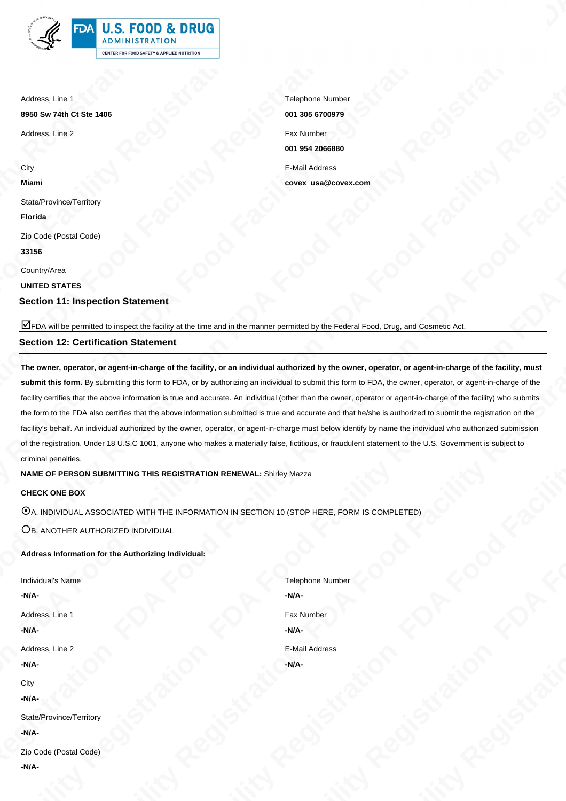Address, Line 1

**8950 Sw 74th Ct Ste 1406**

Address, Line 2 Fax Number

**City Miami**

State/Province/Territory

**Florida**

Zip Code (Postal Code)

**33156**

Country/Area

**UNITED STATES**

**Section 11: Inspection Statement**

þFDA will be permitted to inspect the facility at the time and in the manner permitted by the Federal Food, Drug, and Cosmetic Act.

## **Section 12: Certification Statement**

**FDA Food Facility Registration FDA Food Facility Registration FDA Food Facility Registration FDA Food Facility Registration FDA Food Facility Registration FDA Food Facility Registration FDA Food Facility Registration FDA Food Facility Registration FDA Food Facility Registration FDA Food Facility Registration FDA Food Facility Registration FDA Food Facility Registration FDA Food Facility Registration FDA Food Facility Registration FDA Food Facility Registration FDA Food Facility Registration FDA Food Facility Registration FDA Food Facility Registration FDA Food Facility Registration FDA Food Facility Registration FDA Food Facility Registration FDA Food Facility Registration FDA Food Facility Registration FDA Food Facility Registration FDA Food Facility Registration FDA Food Facility Registration FDA Food Facility Registration FDA Food Facility Registration FDA Food Facility Registration FDA Food Facility Registration FDA Food Facility Registration FDA Food Facility Registration FDA Food Facility Registration FDA Food Facility Registration FDA Food Facility Registration FDA Food Facility Registration FDA Food Facility Registration FDA Food Facility Registration FDA Food Facility Registration FDA Food Facility Registration FDA Food Facility Registration FDA Food Facility Registration FDA Food Facility Registration FDA Food Facility Registration FDA Food Facility Registration FOR FOOD & DRUG<br>
FRA FOOD & DRUG<br>
THE CONSULTER THE CONSULTER TRANSPORTER TO A FOOD ALSO FIND A FOOD FOR FORMATION FOR A FOOD ALSO FIND A FOOD FORMATION FOR A FOOD FORMATION FOR A FOOD FORMATION FOR A FOOD FORMATION FOR FOOD FIND**<br> **FRA FOOD FACILITY REGISTRATION FOOD FACILITY REGISTRATION FOOD FACILITY REGISTRATION FOOD FACILITY REGISTRATION FOOD FACILITY REGISTRATION FOOD FACILITY REGISTRATION FOOD FACILITY REGISTRATION FOOD FACILITY R FDA Food Food Facility Registration FDA Food Facility Registration FDA Food Facility Registration FDA Food Facility Registration FDA Food Facility Registration FDA Food Food Facility Registration FDA Food Food Facility Re The owner, operator, or agent-in-charge of the facility, or an individual authorized by the owner, operator, or agent-in-charge of the facility, must** submit this form. By submitting this form to FDA, or by authorizing an individual to submit this form to FDA, the owner, operator, or agent-in-charge of the facility certifies that the above information is true and accurate. An individual (other than the owner, operator or agent-in-charge of the facility) who submits the form to the FDA also certifies that the above information submitted is true and accurate and that he/she is authorized to submit the registration on the facility's behalf. An individual authorized by the owner, operator, or agent-in-charge must below identify by name the individual who authorized submission of the registration. Under 18 U.S.C 1001, anyone who makes a materially false, fictitious, or fraudulent statement to the U.S. Government is subject to criminal penalties.

**NAME OF PERSON SUBMITTING THIS REGISTRATION RENEWAL:** Shirley Mazza

**CHECK ONE BOX**

 $\odot$ A. INDIVIDUAL ASSOCIATED WITH THE INFORMATION IN SECTION 10 (STOP HERE, FORM IS COMPLETED)

OB. ANOTHER AUTHORIZED INDIVIDUAL

## **Address Information for the Authorizing Individual:**

Individual's Name **-N/A-**Address, Line 1 **-N/A-**Address, Line 2 **-N/A-City -N/A-**State/Province/Territory **-N/A-**

Telephone Number **-N/A-**Fax Number **-N/A-**E-Mail Address **-N/A-**

Telephone Number **001 305 6700979 001 954 2066880** E-Mail Address **covex\_usa@covex.com**

Zip Code (Postal Code) **-N/A-**